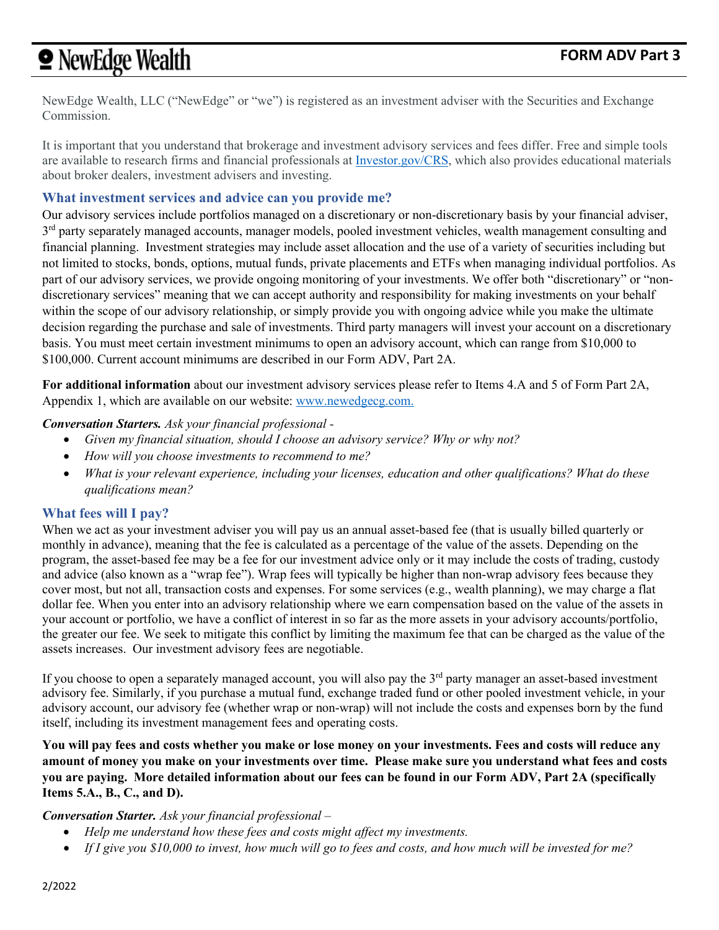# **•** NewEdge Wealth

NewEdge Wealth, LLC ("NewEdge" or "we") is registered as an investment adviser with the Securities and Exchange Commission.

It is important that you understand that brokerage and investment advisory services and fees differ. Free and simple tools are available to research firms and financial professionals a[t Investor.gov/CRS,](file://ma-wfp-fp01/home/dschnier/Regulation%20BI/Investor.gov/CRS) which also provides educational materials about broker dealers, investment advisers and investing.

## **What investment services and advice can you provide me?**

Our advisory services include portfolios managed on a discretionary or non-discretionary basis by your financial adviser,  $3<sup>rd</sup>$  party separately managed accounts, manager models, pooled investment vehicles, wealth management consulting and financial planning. Investment strategies may include asset allocation and the use of a variety of securities including but not limited to stocks, bonds, options, mutual funds, private placements and ETFs when managing individual portfolios. As part of our advisory services, we provide ongoing monitoring of your investments. We offer both "discretionary" or "nondiscretionary services" meaning that we can accept authority and responsibility for making investments on your behalf within the scope of our advisory relationship, or simply provide you with ongoing advice while you make the ultimate decision regarding the purchase and sale of investments. Third party managers will invest your account on a discretionary basis. You must meet certain investment minimums to open an advisory account, which can range from \$10,000 to \$100,000. Current account minimums are described in our Form ADV, Part 2A.

**For additional information** about our investment advisory services please refer to Items 4.A and 5 of Form Part 2A, Appendix 1, which are available on our website: [www.newedgecg.com.](http://www.newedgecg.com/)

## *Conversation Starters. Ask your financial professional -*

- *Given my financial situation, should I choose an advisory service? Why or why not?*
- *How will you choose investments to recommend to me?*
- *What is your relevant experience, including your licenses, education and other qualifications? What do these qualifications mean?*

# **What fees will I pay?**

When we act as your investment adviser you will pay us an annual asset-based fee (that is usually billed quarterly or monthly in advance), meaning that the fee is calculated as a percentage of the value of the assets. Depending on the program, the asset-based fee may be a fee for our investment advice only or it may include the costs of trading, custody and advice (also known as a "wrap fee"). Wrap fees will typically be higher than non-wrap advisory fees because they cover most, but not all, transaction costs and expenses. For some services (e.g., wealth planning), we may charge a flat dollar fee. When you enter into an advisory relationship where we earn compensation based on the value of the assets in your account or portfolio, we have a conflict of interest in so far as the more assets in your advisory accounts/portfolio, the greater our fee. We seek to mitigate this conflict by limiting the maximum fee that can be charged as the value of the assets increases. Our investment advisory fees are negotiable.

If you choose to open a separately managed account, you will also pay the  $3<sup>rd</sup>$  party manager an asset-based investment advisory fee. Similarly, if you purchase a mutual fund, exchange traded fund or other pooled investment vehicle, in your advisory account, our advisory fee (whether wrap or non-wrap) will not include the costs and expenses born by the fund itself, including its investment management fees and operating costs.

**You will pay fees and costs whether you make or lose money on your investments. Fees and costs will reduce any amount of money you make on your investments over time. Please make sure you understand what fees and costs you are paying. More detailed information about our fees can be found in our Form ADV, Part 2A (specifically Items 5.A., B., C., and D).**

## *Conversation Starter. Ask your financial professional –*

- *Help me understand how these fees and costs might affect my investments.*
- *If I give you \$10,000 to invest, how much will go to fees and costs, and how much will be invested for me?*